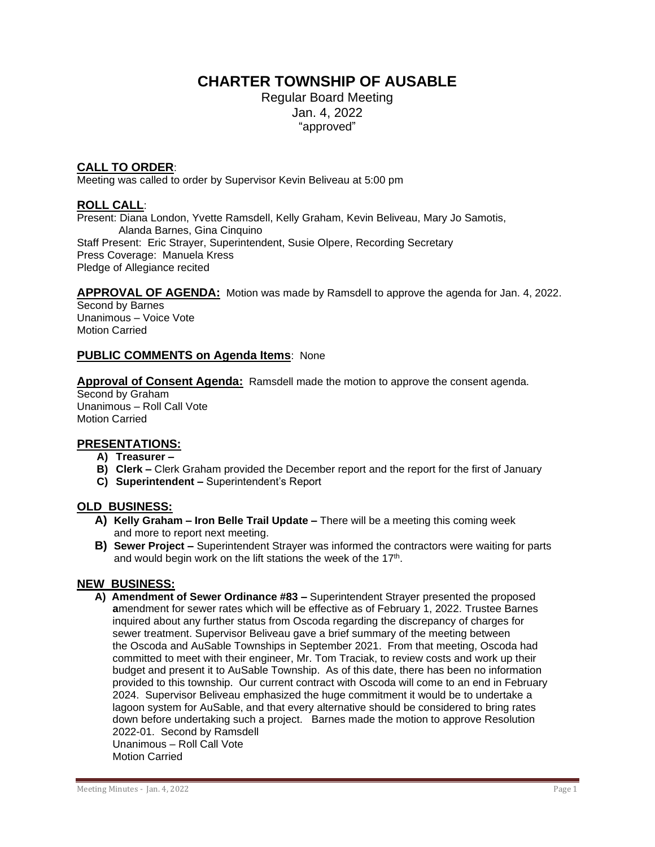# **CHARTER TOWNSHIP OF AUSABLE**

Regular Board Meeting Jan. 4, 2022 "approved"

## **CALL TO ORDER**:

Meeting was called to order by Supervisor Kevin Beliveau at 5:00 pm

## **ROLL CALL**:

Present: Diana London, Yvette Ramsdell, Kelly Graham, Kevin Beliveau, Mary Jo Samotis, Alanda Barnes, Gina Cinquino Staff Present: Eric Strayer, Superintendent, Susie Olpere, Recording Secretary Press Coverage: Manuela Kress Pledge of Allegiance recited

#### **APPROVAL OF AGENDA:** Motion was made by Ramsdell to approve the agenda for Jan. 4, 2022.

Second by Barnes Unanimous – Voice Vote Motion Carried

## **PUBLIC COMMENTS on Agenda Items**: None

**Approval of Consent Agenda:** Ramsdell made the motion to approve the consent agenda.

Second by Graham Unanimous – Roll Call Vote Motion Carried

#### **PRESENTATIONS:**

- **A) Treasurer –**
- **B) Clerk –** Clerk Graham provided the December report and the report for the first of January
- **C) Superintendent –** Superintendent's Report

#### **OLD BUSINESS:**

- **A) Kelly Graham – Iron Belle Trail Update –** There will be a meeting this coming week and more to report next meeting.
- **B) Sewer Project –** Superintendent Strayer was informed the contractors were waiting for parts and would begin work on the lift stations the week of the 17<sup>th</sup>.

#### **NEW BUSINESS:**

 **A) Amendment of Sewer Ordinance #83 –** Superintendent Strayer presented the proposed  **a**mendment for sewer rates which will be effective as of February 1, 2022. Trustee Barnes inquired about any further status from Oscoda regarding the discrepancy of charges for sewer treatment. Supervisor Beliveau gave a brief summary of the meeting between the Oscoda and AuSable Townships in September 2021. From that meeting, Oscoda had committed to meet with their engineer, Mr. Tom Traciak, to review costs and work up their budget and present it to AuSable Township. As of this date, there has been no information provided to this township. Our current contract with Oscoda will come to an end in February 2024. Supervisor Beliveau emphasized the huge commitment it would be to undertake a lagoon system for AuSable, and that every alternative should be considered to bring rates down before undertaking such a project. Barnes made the motion to approve Resolution 2022-01. Second by Ramsdell Unanimous – Roll Call Vote Motion Carried